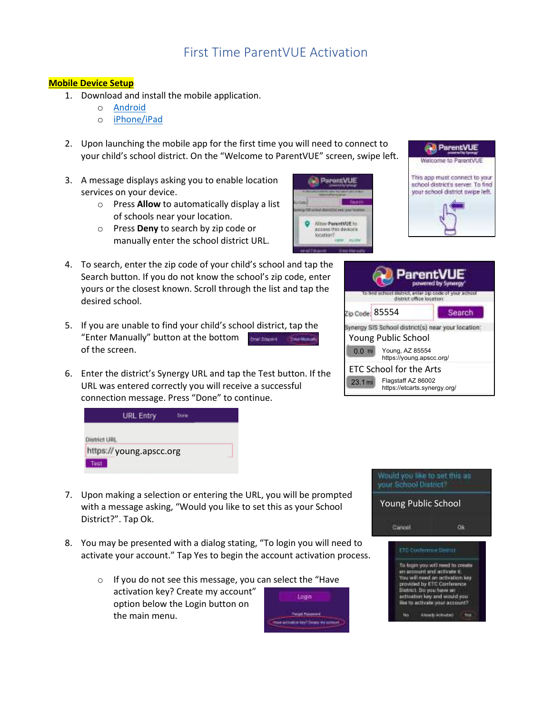# First Time ParentVUE Activation

### **Mobile Device Setup**

- 1. Download and install the mobile application.
	- o Android
	- o iPhone/iPad
- 2. Upon launching the mobile app for the first time you will need to connect to your child's school district. On the "Welcome to ParentVUE" screen, swipe left.
- 3. A message displays asking you to enable location services on your device.
	- o Press **Allow** to automatically display a list of schools near your location.
	- o Press **Deny** to search by zip code or manually enter the school district URL.
- 4. To search, enter the zip code of your child's school and tap the Search button. If you do not know the school's zip code, enter yours or the closest known. Scroll through the list and tap the desired school.
- 5. If you are unable to find your child's school district, tap the "Enter Manually" button at the bottom Smal School - Constitution of the screen.
- 6. Enter the district's Synergy URL and tap the Test button. If the URL was entered correctly you will receive a successful connection message. Press "Done" to continue.



**ParentVUE Mow PerentAUE to** a than devenirs **freddeovi** Contra



| <b>ParentVUE</b><br>powered by Sy<br>na to                               |        |  |
|--------------------------------------------------------------------------|--------|--|
| Zip Code: 85554                                                          | Search |  |
| ynergy SIS School district(s) near your location:<br>Young Public School |        |  |
| Young, AZ 85554<br>$0.0$ m<br>https://voung.apscc.org/                   |        |  |
| ETC School for the Arts                                                  |        |  |
| Flagstaff AZ 86002<br>23.1 m i<br>https://etcarts.synergy.org/           |        |  |

- 7. Upon making a selection or entering the URL, you will be prompted with a message asking, "Would you like to set this as your School District?". Tap Ok.
- 8. You may be presented with a dialog stating, "To login you will need to activate your account." Tap Yes to begin the account activation process.
	- $\circ$  If you do not see this message, you can activation key? Create my account" option below the Login button on the main menu.

| select the "Have                        |  |  |
|-----------------------------------------|--|--|
| Login                                   |  |  |
| <b>Wind Freemant</b>                    |  |  |
| Hoat artistical Leaf Corporate services |  |  |

Would you like to set this as: your Seriool District.

Young Public School

**Ok** 

#### ETC Contempor Demot

Cancel

To fagin you will need to create an account and activate # You will need on activation key provided by ETC Conference District. Do you have an activation key and would you like to activate your account?

Altred Advented This